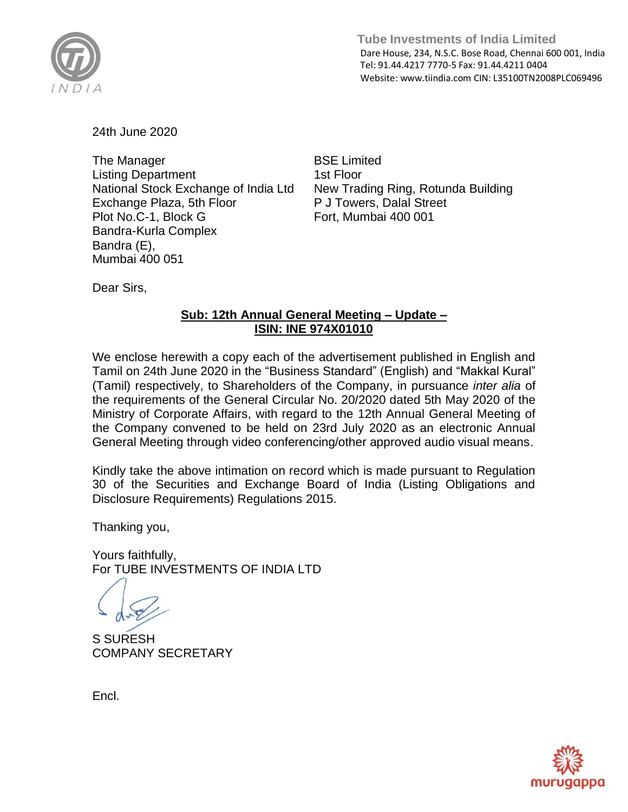

 **Tube Investments of India Limited**  Dare House, 234, N.S.C. Bose Road, Chennai 600 001, India Tel: 91.44.4217 7770-5 Fax: 91.44.4211 0404 Website: www.tiindia.com CIN: L35100TN2008PLC069496

24th June 2020

The Manager Listing Department National Stock Exchange of India Ltd Exchange Plaza, 5th Floor Plot No.C-1, Block G Bandra-Kurla Complex Bandra (E), Mumbai 400 051

BSE Limited 1st Floor New Trading Ring, Rotunda Building P J Towers, Dalal Street Fort, Mumbai 400 001

Dear Sirs,

## **Sub: 12th Annual General Meeting – Update – ISIN: INE 974X01010**

We enclose herewith a copy each of the advertisement published in English and Tamil on 24th June 2020 in the "Business Standard" (English) and "Makkal Kural" (Tamil) respectively, to Shareholders of the Company, in pursuance *inter alia* of the requirements of the General Circular No. 20/2020 dated 5th May 2020 of the Ministry of Corporate Affairs, with regard to the 12th Annual General Meeting of the Company convened to be held on 23rd July 2020 as an electronic Annual General Meeting through video conferencing/other approved audio visual means.

Kindly take the above intimation on record which is made pursuant to Regulation 30 of the Securities and Exchange Board of India (Listing Obligations and Disclosure Requirements) Regulations 2015.

Thanking you,

Yours faithfully, For TUBE INVESTMENTS OF INDIA LTD

S SURESH COMPANY SECRETARY

Encl.